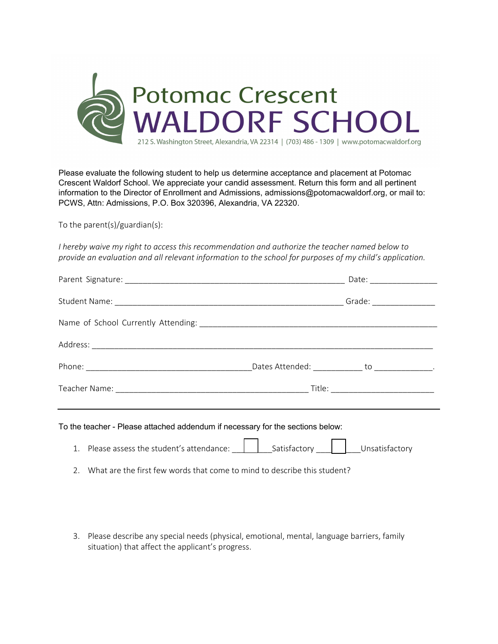

Please evaluate the following student to help us determine acceptance and placement at Potomac Crescent Waldorf School. We appreciate your candid assessment. Return this form and all pertinent information to the Director of Enrollment and Admissions, admissions@potomacwaldorf.org, or mail to: PCWS, Attn: Admissions, P.O. Box 320396, Alexandria, VA 22320.

To the parent(s)/guardian(s):

*I hereby waive my right to access this recommendation and authorize the teacher named below to provide an evaluation and all relevant information to the school for purposes of my child's application.* 

|  | Grade: __________________                       |
|--|-------------------------------------------------|
|  |                                                 |
|  |                                                 |
|  | Dates Attended: _____________ to _____________. |
|  |                                                 |
|  |                                                 |

To the teacher - Please attached addendum if necessary for the sections below:

1. Please assess the student's attendance:  $\|\cdot\|$  Satisfactory  $\|\cdot\|$  Unsatisfactory

2. What are the first few words that come to mind to describe this student?

3. Please describe any special needs (physical, emotional, mental, language barriers, family situation) that affect the applicant's progress.